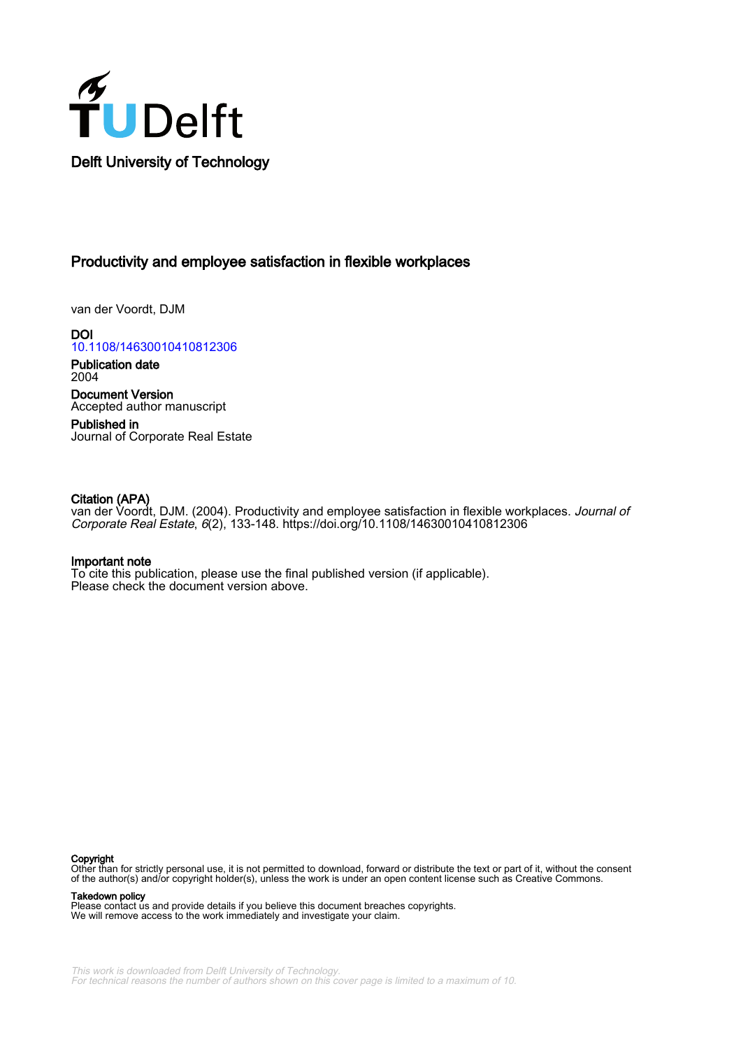

# Productivity and employee satisfaction in flexible workplaces

van der Voordt, DJM

DOI [10.1108/14630010410812306](https://doi.org/10.1108/14630010410812306)

Publication date 2004 Document Version

Accepted author manuscript

Published in Journal of Corporate Real Estate

#### Citation (APA)

van der Voordt, DJM. (2004). Productivity and employee satisfaction in flexible workplaces. Journal of Corporate Real Estate, 6(2), 133-148. <https://doi.org/10.1108/14630010410812306>

#### Important note

To cite this publication, please use the final published version (if applicable). Please check the document version above.

#### Copyright

Other than for strictly personal use, it is not permitted to download, forward or distribute the text or part of it, without the consent of the author(s) and/or copyright holder(s), unless the work is under an open content license such as Creative Commons.

Takedown policy

Please contact us and provide details if you believe this document breaches copyrights. We will remove access to the work immediately and investigate your claim.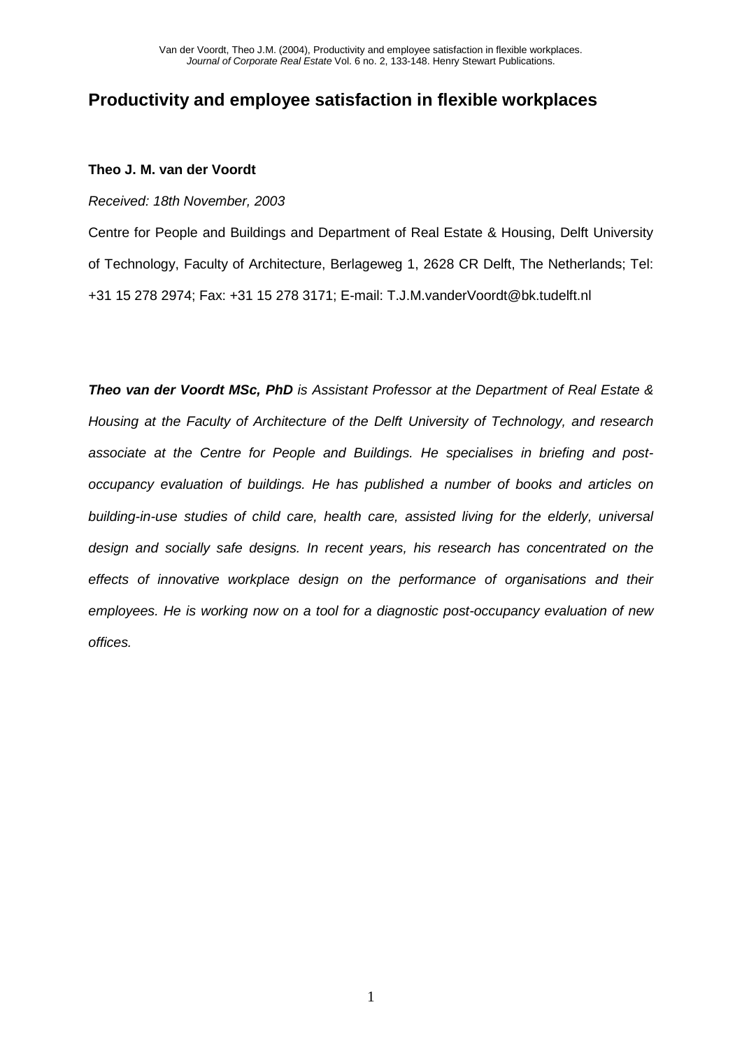# **Productivity and employee satisfaction in flexible workplaces**

# **Theo J. M. van der Voordt**

# *Received: 18th November, 2003*

Centre for People and Buildings and Department of Real Estate & Housing, Delft University of Technology, Faculty of Architecture, Berlageweg 1, 2628 CR Delft, The Netherlands; Tel: +31 15 278 2974; Fax: +31 15 278 3171; E-mail: T.J.M.vanderVoordt@bk.tudelft.nl

*Theo van der Voordt MSc, PhD is Assistant Professor at the Department of Real Estate & Housing at the Faculty of Architecture of the Delft University of Technology, and research associate at the Centre for People and Buildings. He specialises in briefing and postoccupancy evaluation of buildings. He has published a number of books and articles on building-in-use studies of child care, health care, assisted living for the elderly, universal design and socially safe designs. In recent years, his research has concentrated on the*  effects of innovative workplace design on the performance of organisations and their *employees. He is working now on a tool for a diagnostic post-occupancy evaluation of new offices.*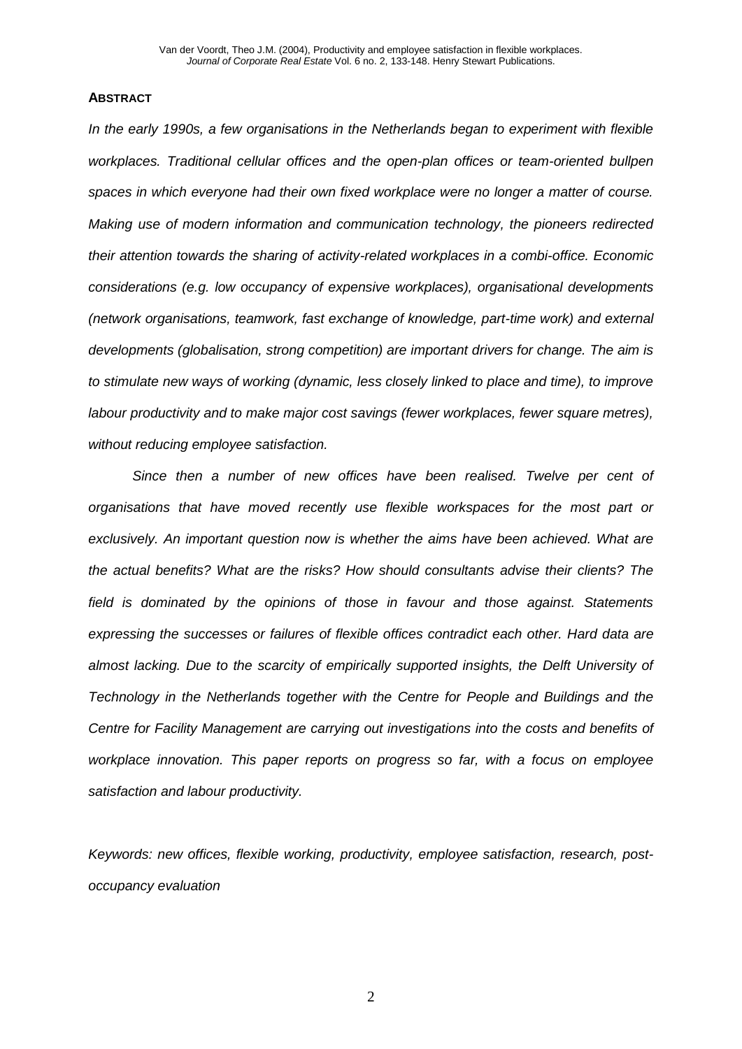#### **ABSTRACT**

*In the early 1990s, a few organisations in the Netherlands began to experiment with flexible workplaces. Traditional cellular offices and the open-plan offices or team-oriented bullpen spaces in which everyone had their own fixed workplace were no longer a matter of course. Making use of modern information and communication technology, the pioneers redirected their attention towards the sharing of activity-related workplaces in a combi-office. Economic considerations (e.g. low occupancy of expensive workplaces), organisational developments (network organisations, teamwork, fast exchange of knowledge, part-time work) and external developments (globalisation, strong competition) are important drivers for change. The aim is to stimulate new ways of working (dynamic, less closely linked to place and time), to improve labour productivity and to make major cost savings (fewer workplaces, fewer square metres), without reducing employee satisfaction.* 

Since then a number of new offices have been realised. Twelve per cent of *organisations that have moved recently use flexible workspaces for the most part or exclusively. An important question now is whether the aims have been achieved. What are the actual benefits? What are the risks? How should consultants advise their clients? The*  field is dominated by the opinions of those in favour and those against. Statements *expressing the successes or failures of flexible offices contradict each other. Hard data are almost lacking. Due to the scarcity of empirically supported insights, the Delft University of Technology in the Netherlands together with the Centre for People and Buildings and the Centre for Facility Management are carrying out investigations into the costs and benefits of workplace innovation. This paper reports on progress so far, with a focus on employee satisfaction and labour productivity.*

*Keywords: new offices, flexible working, productivity, employee satisfaction, research, postoccupancy evaluation*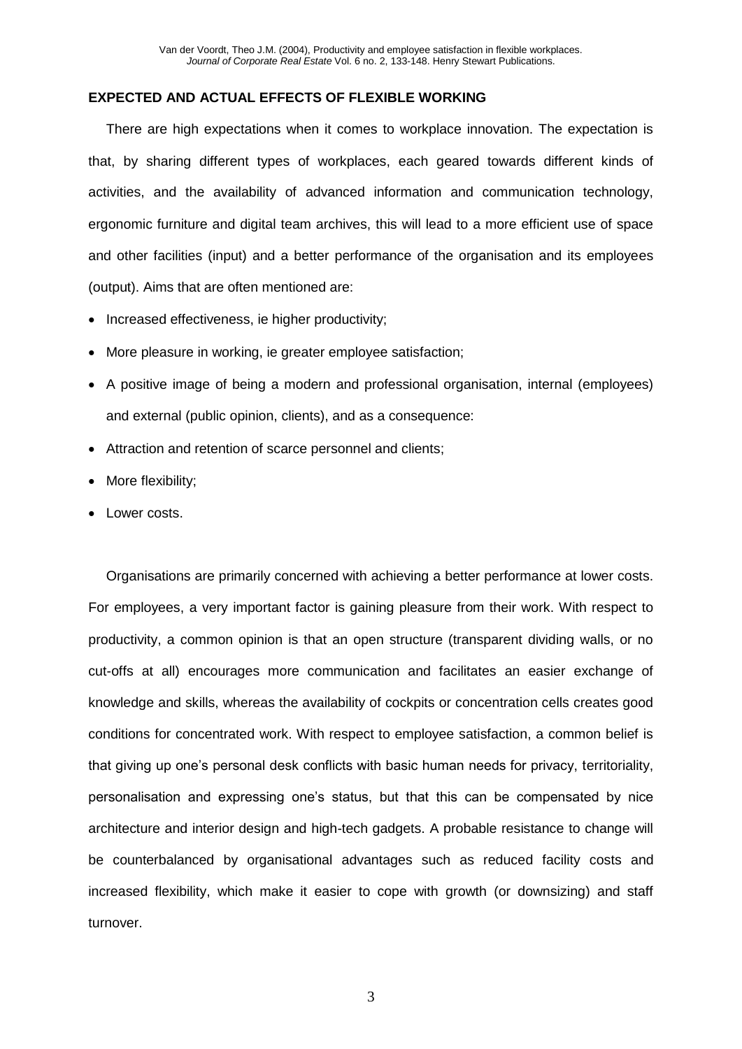#### **EXPECTED AND ACTUAL EFFECTS OF FLEXIBLE WORKING**

There are high expectations when it comes to workplace innovation. The expectation is that, by sharing different types of workplaces, each geared towards different kinds of activities, and the availability of advanced information and communication technology, ergonomic furniture and digital team archives, this will lead to a more efficient use of space and other facilities (input) and a better performance of the organisation and its employees (output). Aims that are often mentioned are:

- Increased effectiveness, ie higher productivity;
- More pleasure in working, ie greater employee satisfaction;
- A positive image of being a modern and professional organisation, internal (employees) and external (public opinion, clients), and as a consequence:
- Attraction and retention of scarce personnel and clients;
- More flexibility;
- Lower costs.

Organisations are primarily concerned with achieving a better performance at lower costs. For employees, a very important factor is gaining pleasure from their work. With respect to productivity, a common opinion is that an open structure (transparent dividing walls, or no cut-offs at all) encourages more communication and facilitates an easier exchange of knowledge and skills, whereas the availability of cockpits or concentration cells creates good conditions for concentrated work. With respect to employee satisfaction, a common belief is that giving up one's personal desk conflicts with basic human needs for privacy, territoriality, personalisation and expressing one's status, but that this can be compensated by nice architecture and interior design and high-tech gadgets. A probable resistance to change will be counterbalanced by organisational advantages such as reduced facility costs and increased flexibility, which make it easier to cope with growth (or downsizing) and staff turnover.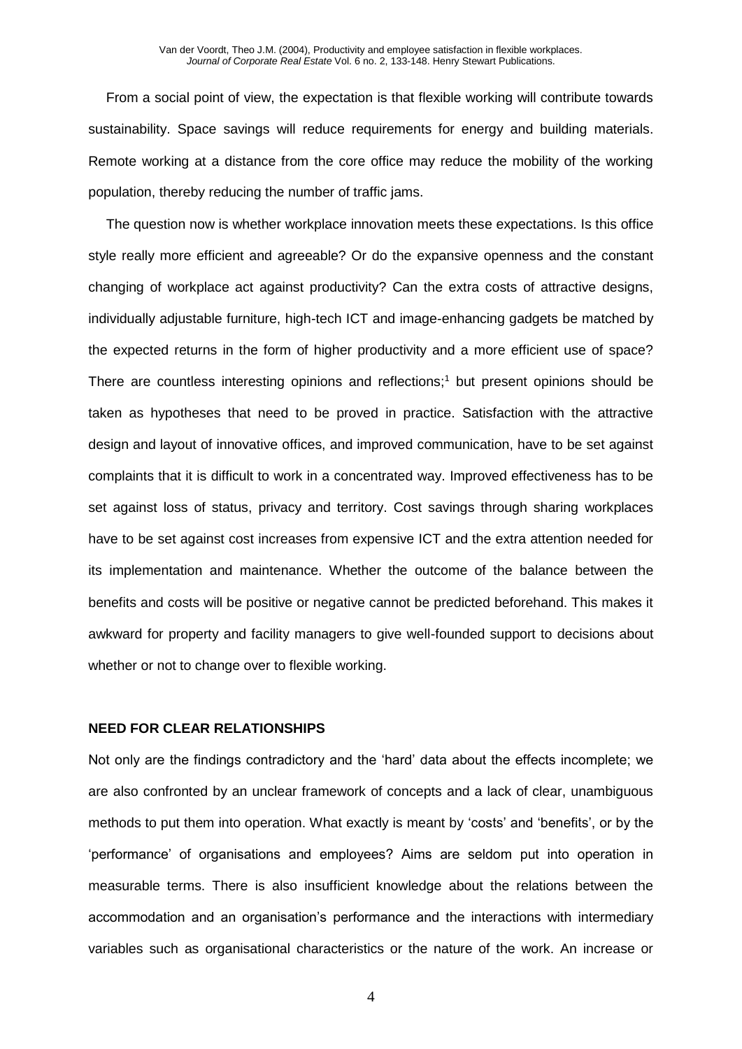From a social point of view, the expectation is that flexible working will contribute towards sustainability. Space savings will reduce requirements for energy and building materials. Remote working at a distance from the core office may reduce the mobility of the working population, thereby reducing the number of traffic jams.

The question now is whether workplace innovation meets these expectations. Is this office style really more efficient and agreeable? Or do the expansive openness and the constant changing of workplace act against productivity? Can the extra costs of attractive designs, individually adjustable furniture, high-tech ICT and image-enhancing gadgets be matched by the expected returns in the form of higher productivity and a more efficient use of space? There are countless interesting opinions and reflections;<sup>1</sup> but present opinions should be taken as hypotheses that need to be proved in practice. Satisfaction with the attractive design and layout of innovative offices, and improved communication, have to be set against complaints that it is difficult to work in a concentrated way. Improved effectiveness has to be set against loss of status, privacy and territory. Cost savings through sharing workplaces have to be set against cost increases from expensive ICT and the extra attention needed for its implementation and maintenance. Whether the outcome of the balance between the benefits and costs will be positive or negative cannot be predicted beforehand. This makes it awkward for property and facility managers to give well-founded support to decisions about whether or not to change over to flexible working.

# **NEED FOR CLEAR RELATIONSHIPS**

Not only are the findings contradictory and the 'hard' data about the effects incomplete; we are also confronted by an unclear framework of concepts and a lack of clear, unambiguous methods to put them into operation. What exactly is meant by 'costs' and 'benefits', or by the 'performance' of organisations and employees? Aims are seldom put into operation in measurable terms. There is also insufficient knowledge about the relations between the accommodation and an organisation's performance and the interactions with intermediary variables such as organisational characteristics or the nature of the work. An increase or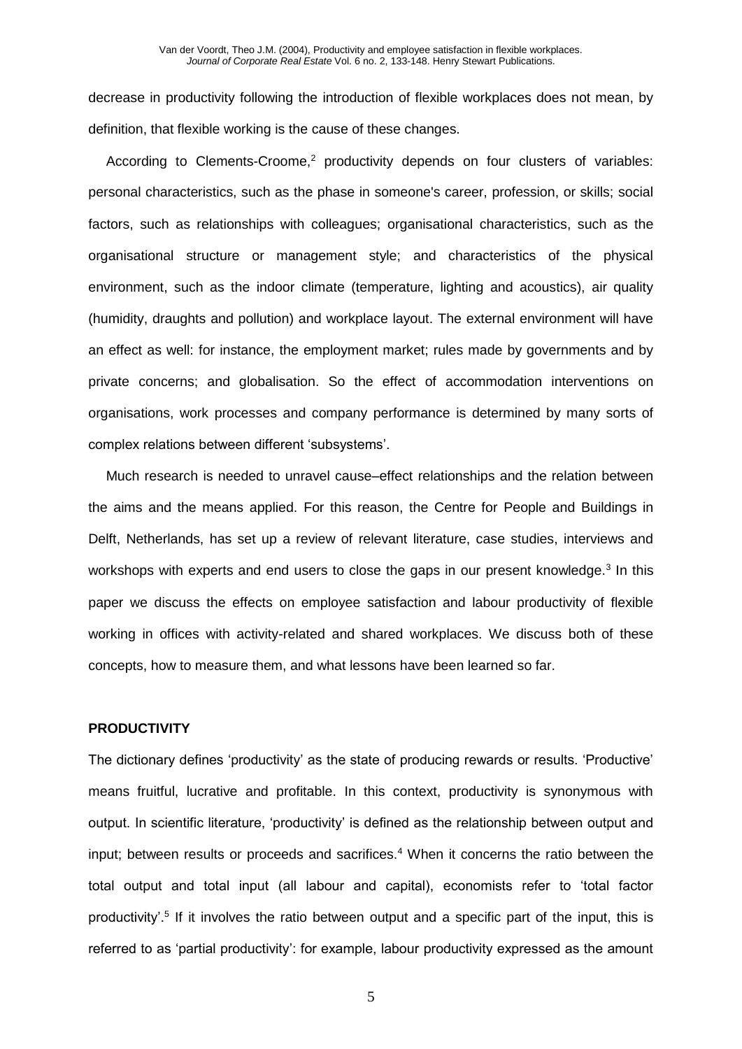decrease in productivity following the introduction of flexible workplaces does not mean, by definition, that flexible working is the cause of these changes.

According to Clements-Croome, $2$  productivity depends on four clusters of variables: personal characteristics, such as the phase in someone's career, profession, or skills; social factors, such as relationships with colleagues; organisational characteristics, such as the organisational structure or management style; and characteristics of the physical environment, such as the indoor climate (temperature, lighting and acoustics), air quality (humidity, draughts and pollution) and workplace layout. The external environment will have an effect as well: for instance, the employment market; rules made by governments and by private concerns; and globalisation. So the effect of accommodation interventions on organisations, work processes and company performance is determined by many sorts of complex relations between different 'subsystems'.

Much research is needed to unravel cause–effect relationships and the relation between the aims and the means applied. For this reason, the Centre for People and Buildings in Delft, Netherlands, has set up a review of relevant literature, case studies, interviews and workshops with experts and end users to close the gaps in our present knowledge.<sup>3</sup> In this paper we discuss the effects on employee satisfaction and labour productivity of flexible working in offices with activity-related and shared workplaces. We discuss both of these concepts, how to measure them, and what lessons have been learned so far.

# **PRODUCTIVITY**

The dictionary defines 'productivity' as the state of producing rewards or results. 'Productive' means fruitful, lucrative and profitable. In this context, productivity is synonymous with output. In scientific literature, 'productivity' is defined as the relationship between output and input; between results or proceeds and sacrifices.<sup>4</sup> When it concerns the ratio between the total output and total input (all labour and capital), economists refer to 'total factor productivity'.<sup>5</sup> If it involves the ratio between output and a specific part of the input, this is referred to as 'partial productivity': for example, labour productivity expressed as the amount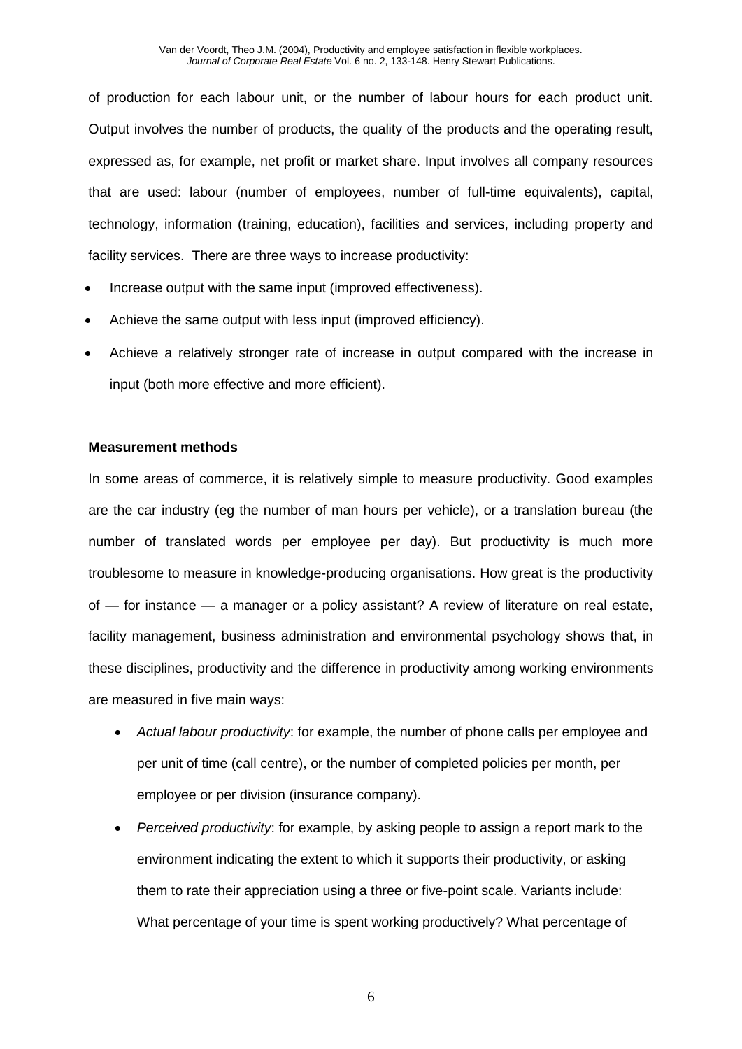of production for each labour unit, or the number of labour hours for each product unit. Output involves the number of products, the quality of the products and the operating result, expressed as, for example, net profit or market share. Input involves all company resources that are used: labour (number of employees, number of full-time equivalents), capital, technology, information (training, education), facilities and services, including property and facility services. There are three ways to increase productivity:

- Increase output with the same input (improved effectiveness).
- Achieve the same output with less input (improved efficiency).
- Achieve a relatively stronger rate of increase in output compared with the increase in input (both more effective and more efficient).

# **Measurement methods**

In some areas of commerce, it is relatively simple to measure productivity. Good examples are the car industry (eg the number of man hours per vehicle), or a translation bureau (the number of translated words per employee per day). But productivity is much more troublesome to measure in knowledge-producing organisations. How great is the productivity of — for instance — a manager or a policy assistant? A review of literature on real estate, facility management, business administration and environmental psychology shows that, in these disciplines, productivity and the difference in productivity among working environments are measured in five main ways:

- *Actual labour productivity*: for example, the number of phone calls per employee and per unit of time (call centre), or the number of completed policies per month, per employee or per division (insurance company).
- *Perceived productivity*: for example, by asking people to assign a report mark to the environment indicating the extent to which it supports their productivity, or asking them to rate their appreciation using a three or five-point scale. Variants include: What percentage of your time is spent working productively? What percentage of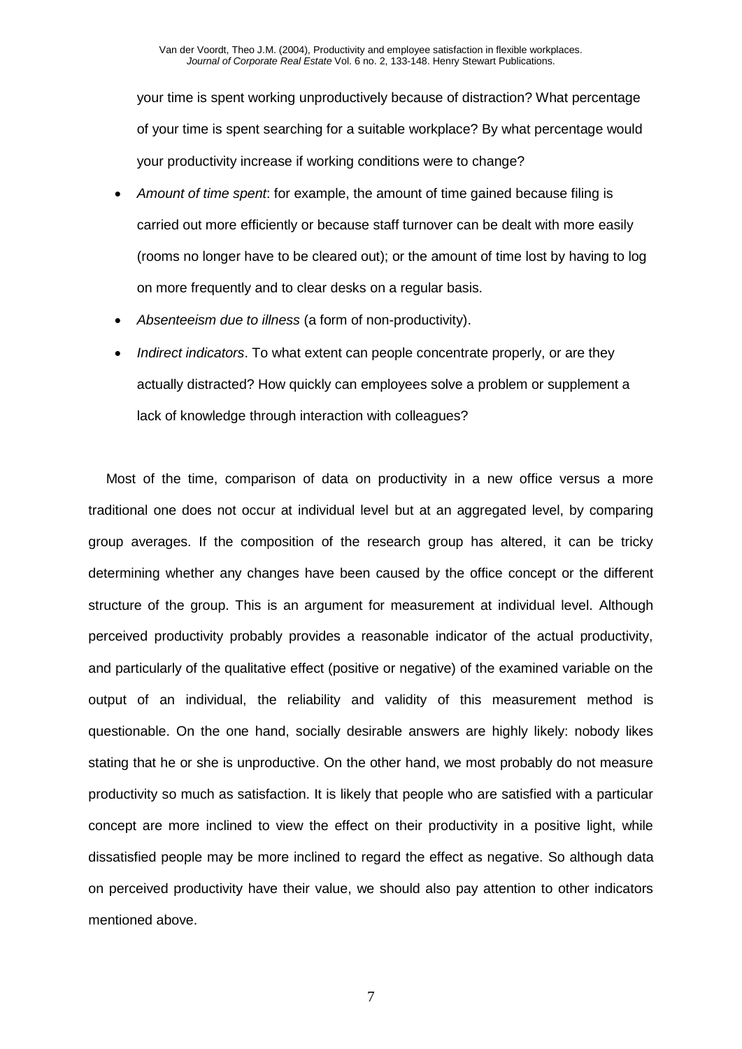your time is spent working unproductively because of distraction? What percentage of your time is spent searching for a suitable workplace? By what percentage would your productivity increase if working conditions were to change?

- *Amount of time spent*: for example, the amount of time gained because filing is carried out more efficiently or because staff turnover can be dealt with more easily (rooms no longer have to be cleared out); or the amount of time lost by having to log on more frequently and to clear desks on a regular basis.
- *Absenteeism due to illness* (a form of non-productivity).
- *Indirect indicators*. To what extent can people concentrate properly, or are they actually distracted? How quickly can employees solve a problem or supplement a lack of knowledge through interaction with colleagues?

Most of the time, comparison of data on productivity in a new office versus a more traditional one does not occur at individual level but at an aggregated level, by comparing group averages. If the composition of the research group has altered, it can be tricky determining whether any changes have been caused by the office concept or the different structure of the group. This is an argument for measurement at individual level. Although perceived productivity probably provides a reasonable indicator of the actual productivity, and particularly of the qualitative effect (positive or negative) of the examined variable on the output of an individual, the reliability and validity of this measurement method is questionable. On the one hand, socially desirable answers are highly likely: nobody likes stating that he or she is unproductive. On the other hand, we most probably do not measure productivity so much as satisfaction. It is likely that people who are satisfied with a particular concept are more inclined to view the effect on their productivity in a positive light, while dissatisfied people may be more inclined to regard the effect as negative. So although data on perceived productivity have their value, we should also pay attention to other indicators mentioned above.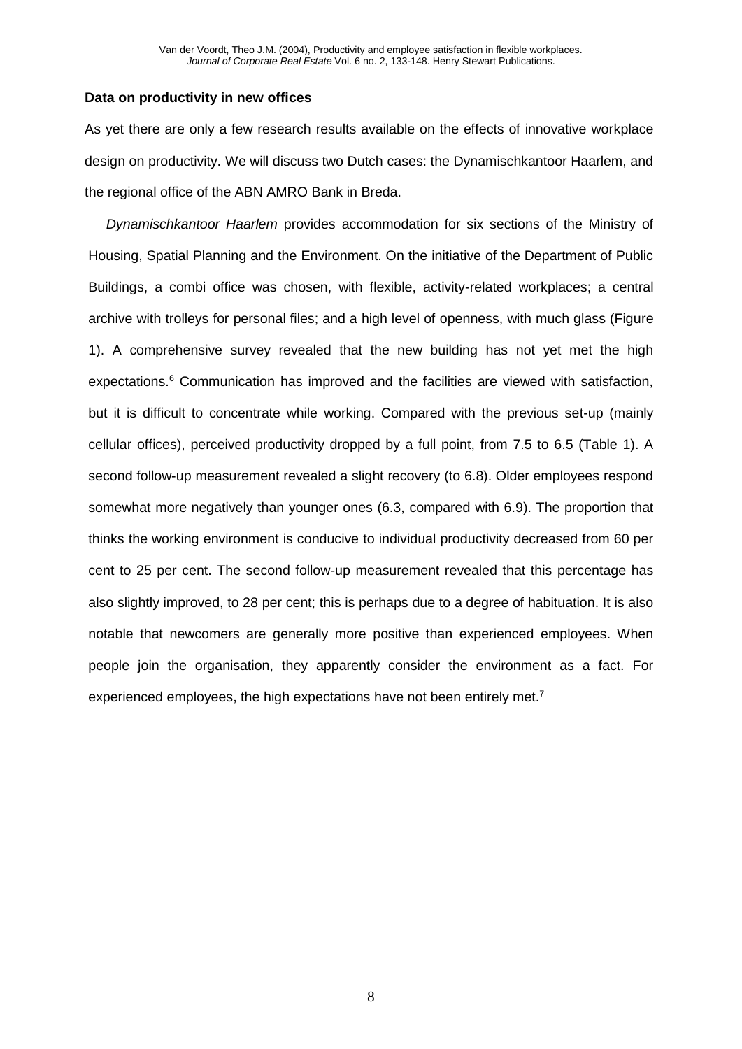#### **Data on productivity in new offices**

As yet there are only a few research results available on the effects of innovative workplace design on productivity. We will discuss two Dutch cases: the Dynamischkantoor Haarlem, and the regional office of the ABN AMRO Bank in Breda.

*Dynamischkantoor Haarlem* provides accommodation for six sections of the Ministry of Housing, Spatial Planning and the Environment. On the initiative of the Department of Public Buildings, a combi office was chosen, with flexible, activity-related workplaces; a central archive with trolleys for personal files; and a high level of openness, with much glass (Figure 1). A comprehensive survey revealed that the new building has not yet met the high expectations.<sup>6</sup> Communication has improved and the facilities are viewed with satisfaction, but it is difficult to concentrate while working. Compared with the previous set-up (mainly cellular offices), perceived productivity dropped by a full point, from 7.5 to 6.5 (Table 1). A second follow-up measurement revealed a slight recovery (to 6.8). Older employees respond somewhat more negatively than younger ones (6.3, compared with 6.9). The proportion that thinks the working environment is conducive to individual productivity decreased from 60 per cent to 25 per cent. The second follow-up measurement revealed that this percentage has also slightly improved, to 28 per cent; this is perhaps due to a degree of habituation. It is also notable that newcomers are generally more positive than experienced employees. When people join the organisation, they apparently consider the environment as a fact. For experienced employees, the high expectations have not been entirely met.<sup>7</sup>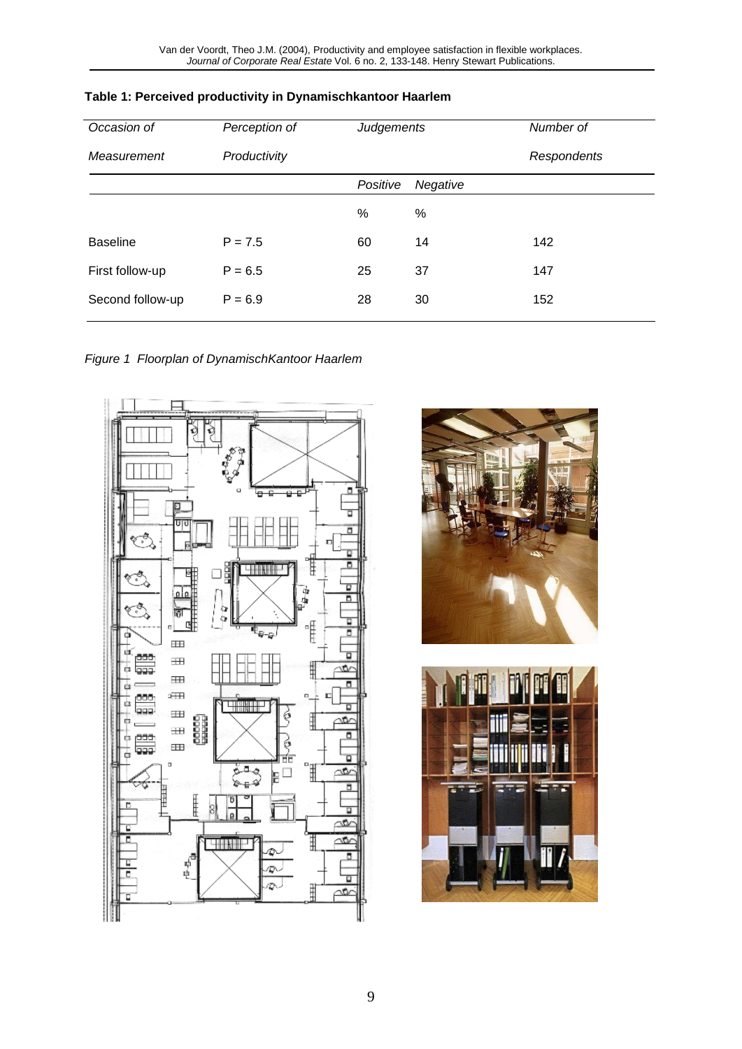| Occasion of      | Perception of | Judgements |          | Number of   |
|------------------|---------------|------------|----------|-------------|
| Measurement      | Productivity  |            |          | Respondents |
|                  |               | Positive   | Negative |             |
|                  |               | %          | %        |             |
| <b>Baseline</b>  | $P = 7.5$     | 60         | 14       | 142         |
| First follow-up  | $P = 6.5$     | 25         | 37       | 147         |
| Second follow-up | $P = 6.9$     | 28         | 30       | 152         |

# **Table 1: Perceived productivity in Dynamischkantoor Haarlem**

# *Figure 1 Floorplan of DynamischKantoor Haarlem*





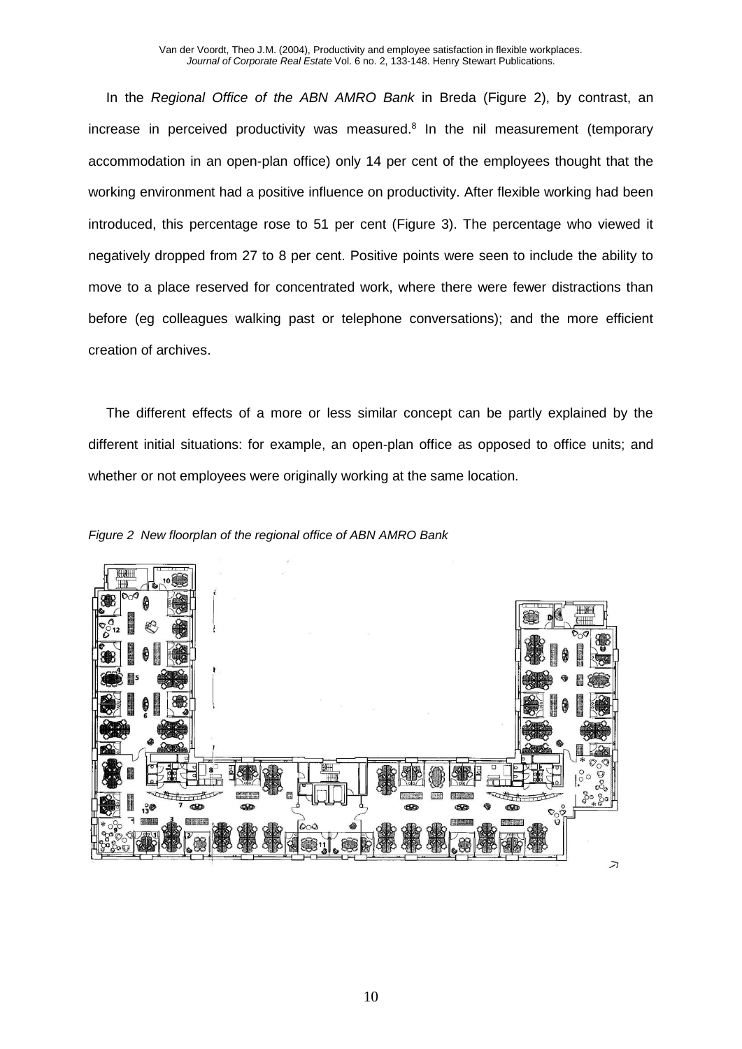#### Van der Voordt, Theo J.M. (2004), Productivity and employee satisfaction in flexible workplaces. *Journal of Corporate Real Estate* Vol. 6 no. 2, 133-148. Henry Stewart Publications.

In the *Regional Office of the ABN AMRO Bank* in Breda (Figure 2), by contrast, an increase in perceived productivity was measured.<sup>8</sup> In the nil measurement (temporary accommodation in an open-plan office) only 14 per cent of the employees thought that the working environment had a positive influence on productivity. After flexible working had been introduced, this percentage rose to 51 per cent (Figure 3). The percentage who viewed it negatively dropped from 27 to 8 per cent. Positive points were seen to include the ability to move to a place reserved for concentrated work, where there were fewer distractions than before (eg colleagues walking past or telephone conversations); and the more efficient creation of archives.

The different effects of a more or less similar concept can be partly explained by the different initial situations: for example, an open-plan office as opposed to office units; and whether or not employees were originally working at the same location.



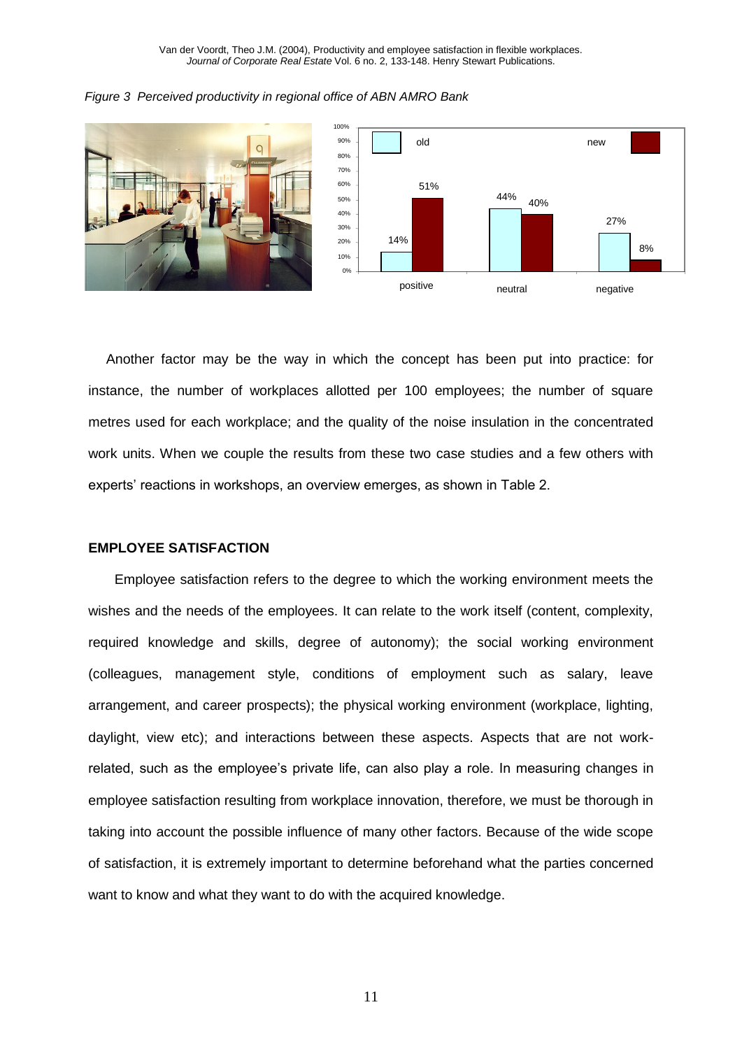



Another factor may be the way in which the concept has been put into practice: for instance, the number of workplaces allotted per 100 employees; the number of square metres used for each workplace; and the quality of the noise insulation in the concentrated work units. When we couple the results from these two case studies and a few others with experts' reactions in workshops, an overview emerges, as shown in Table 2.

### **EMPLOYEE SATISFACTION**

Employee satisfaction refers to the degree to which the working environment meets the wishes and the needs of the employees. It can relate to the work itself (content, complexity, required knowledge and skills, degree of autonomy); the social working environment (colleagues, management style, conditions of employment such as salary, leave arrangement, and career prospects); the physical working environment (workplace, lighting, daylight, view etc); and interactions between these aspects. Aspects that are not workrelated, such as the employee's private life, can also play a role. In measuring changes in employee satisfaction resulting from workplace innovation, therefore, we must be thorough in taking into account the possible influence of many other factors. Because of the wide scope of satisfaction, it is extremely important to determine beforehand what the parties concerned want to know and what they want to do with the acquired knowledge.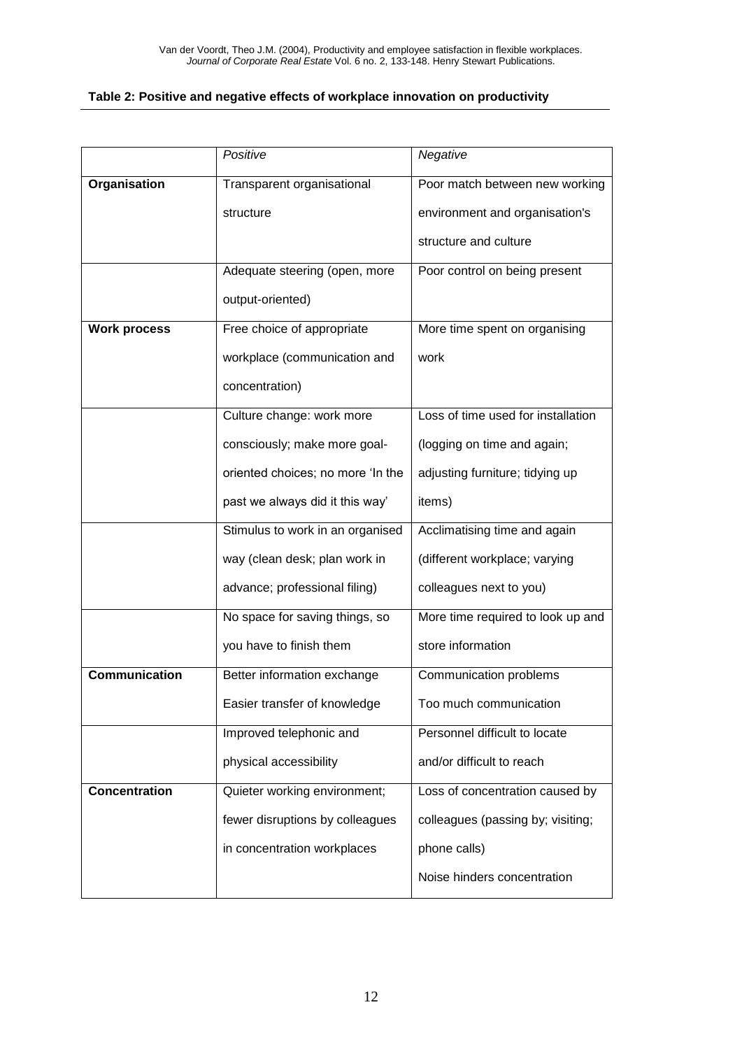# **Table 2: Positive and negative effects of workplace innovation on productivity**

|                         | Positive                                                       | Negative                           |  |
|-------------------------|----------------------------------------------------------------|------------------------------------|--|
| Organisation            | Transparent organisational                                     | Poor match between new working     |  |
|                         | structure                                                      | environment and organisation's     |  |
|                         |                                                                | structure and culture              |  |
|                         | Adequate steering (open, more                                  | Poor control on being present      |  |
|                         | output-oriented)                                               |                                    |  |
| <b>Work process</b>     | Free choice of appropriate                                     | More time spent on organising      |  |
|                         | workplace (communication and                                   | work                               |  |
|                         | concentration)                                                 |                                    |  |
|                         | Culture change: work more                                      | Loss of time used for installation |  |
|                         | consciously; make more goal-                                   | (logging on time and again;        |  |
|                         | oriented choices; no more 'In the                              | adjusting furniture; tidying up    |  |
|                         | past we always did it this way'                                | items)                             |  |
|                         | Stimulus to work in an organised                               | Acclimatising time and again       |  |
|                         | way (clean desk; plan work in<br>advance; professional filing) | (different workplace; varying      |  |
|                         |                                                                | colleagues next to you)            |  |
|                         | No space for saving things, so                                 | More time required to look up and  |  |
| you have to finish them |                                                                | store information                  |  |
| Communication           | Better information exchange                                    | Communication problems             |  |
|                         | Easier transfer of knowledge                                   | Too much communication             |  |
|                         | Improved telephonic and                                        | Personnel difficult to locate      |  |
|                         | physical accessibility                                         | and/or difficult to reach          |  |
| <b>Concentration</b>    | Quieter working environment;                                   | Loss of concentration caused by    |  |
|                         | fewer disruptions by colleagues                                | colleagues (passing by; visiting;  |  |
|                         | in concentration workplaces                                    | phone calls)                       |  |
|                         |                                                                | Noise hinders concentration        |  |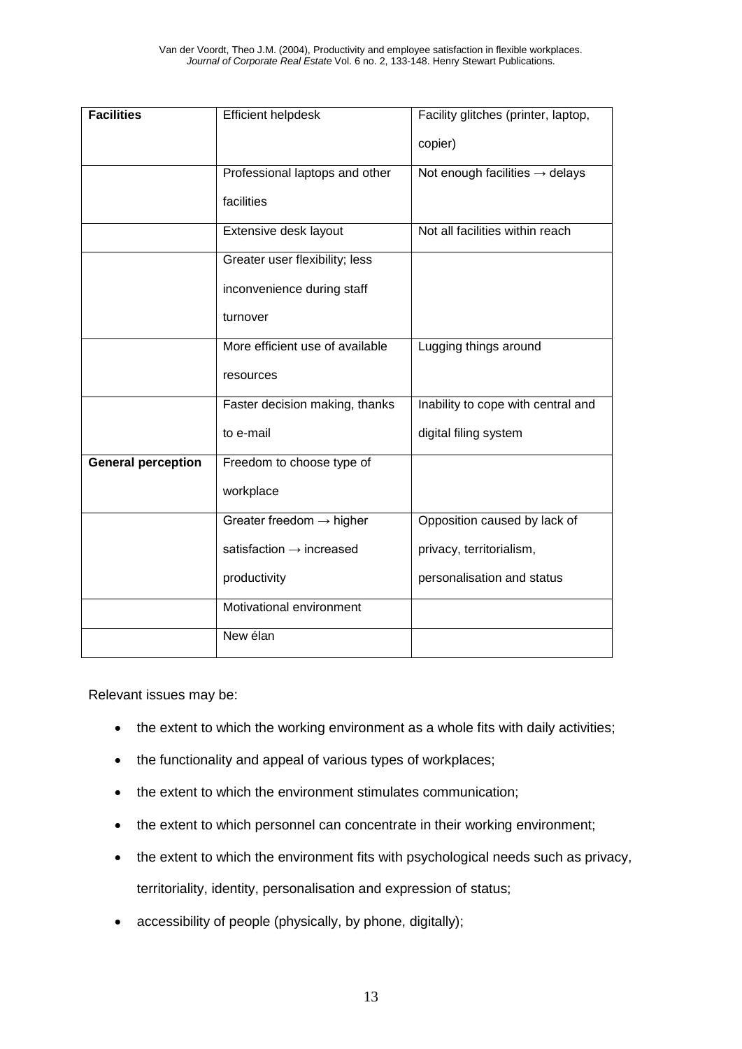| <b>Facilities</b>         | <b>Efficient helpdesk</b>            | Facility glitches (printer, laptop,        |  |
|---------------------------|--------------------------------------|--------------------------------------------|--|
|                           |                                      | copier)                                    |  |
|                           | Professional laptops and other       | Not enough facilities $\rightarrow$ delays |  |
|                           | facilities                           |                                            |  |
|                           | Extensive desk layout                | Not all facilities within reach            |  |
|                           | Greater user flexibility; less       |                                            |  |
|                           | inconvenience during staff           |                                            |  |
|                           | turnover                             |                                            |  |
|                           | More efficient use of available      | Lugging things around                      |  |
|                           | resources                            |                                            |  |
|                           | Faster decision making, thanks       | Inability to cope with central and         |  |
|                           | to e-mail                            | digital filing system                      |  |
| <b>General perception</b> | Freedom to choose type of            |                                            |  |
|                           | workplace                            |                                            |  |
|                           | Greater freedom $\rightarrow$ higher | Opposition caused by lack of               |  |
|                           | satisfaction $\rightarrow$ increased | privacy, territorialism,                   |  |
|                           | productivity                         | personalisation and status                 |  |
|                           | Motivational environment             |                                            |  |
|                           | New élan                             |                                            |  |

Relevant issues may be:

- the extent to which the working environment as a whole fits with daily activities;
- the functionality and appeal of various types of workplaces;
- the extent to which the environment stimulates communication;
- the extent to which personnel can concentrate in their working environment;
- the extent to which the environment fits with psychological needs such as privacy, territoriality, identity, personalisation and expression of status;
- accessibility of people (physically, by phone, digitally);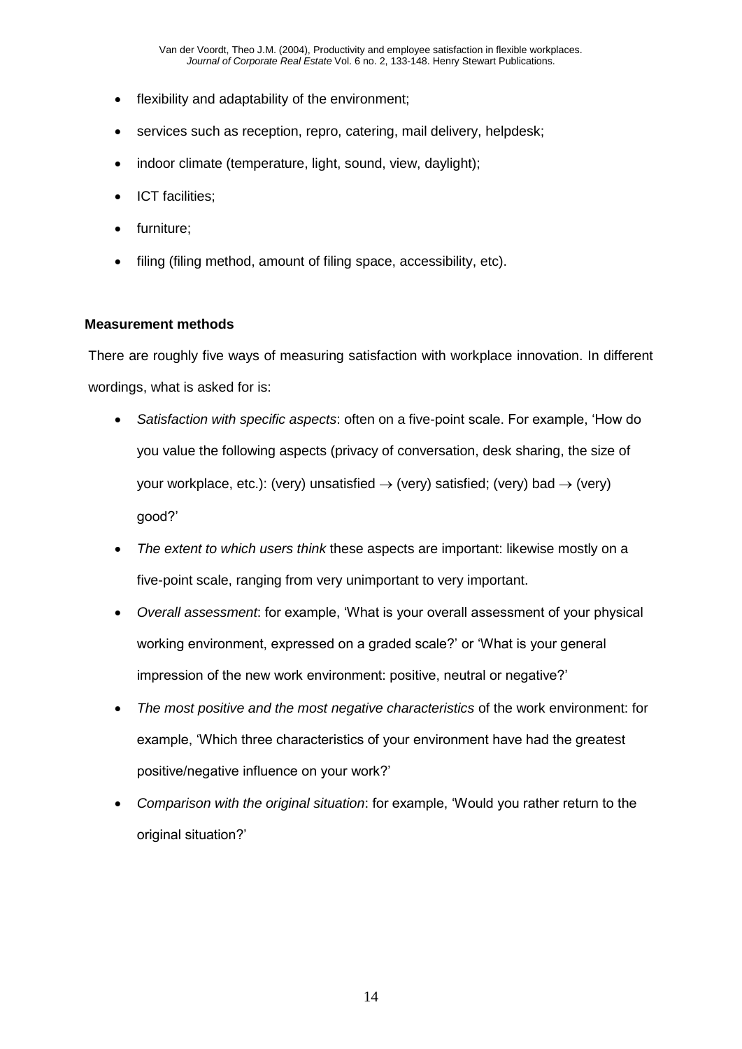- flexibility and adaptability of the environment;
- services such as reception, repro, catering, mail delivery, helpdesk;
- indoor climate (temperature, light, sound, view, daylight);
- ICT facilities;
- furniture;
- filing (filing method, amount of filing space, accessibility, etc).

# **Measurement methods**

There are roughly five ways of measuring satisfaction with workplace innovation. In different wordings, what is asked for is:

- *Satisfaction with specific aspects*: often on a five-point scale. For example, 'How do you value the following aspects (privacy of conversation, desk sharing, the size of your workplace, etc.): (very) unsatisfied  $\rightarrow$  (very) satisfied; (very) bad  $\rightarrow$  (very) good?'
- *The extent to which users think* these aspects are important: likewise mostly on a five-point scale, ranging from very unimportant to very important.
- *Overall assessment*: for example, 'What is your overall assessment of your physical working environment, expressed on a graded scale?' or 'What is your general impression of the new work environment: positive, neutral or negative?'
- *The most positive and the most negative characteristics* of the work environment: for example, 'Which three characteristics of your environment have had the greatest positive/negative influence on your work?'
- *Comparison with the original situation*: for example, 'Would you rather return to the original situation?'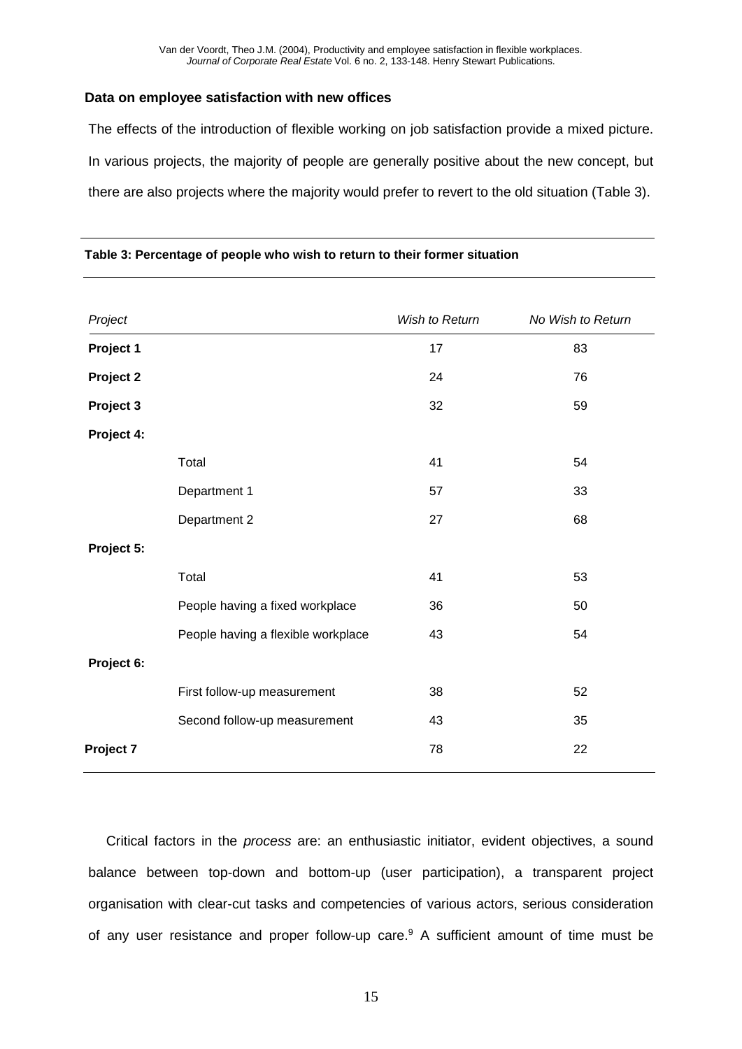# **Data on employee satisfaction with new offices**

The effects of the introduction of flexible working on job satisfaction provide a mixed picture. In various projects, the majority of people are generally positive about the new concept, but there are also projects where the majority would prefer to revert to the old situation (Table 3).

| Project    |                                    | Wish to Return | No Wish to Return |
|------------|------------------------------------|----------------|-------------------|
| Project 1  |                                    | 17             | 83                |
| Project 2  |                                    | 24             | 76                |
| Project 3  |                                    | 32             | 59                |
| Project 4: |                                    |                |                   |
|            | Total                              | 41             | 54                |
|            | Department 1                       | 57             | 33                |
|            | Department 2                       | 27             | 68                |
| Project 5: |                                    |                |                   |
|            | Total                              | 41             | 53                |
|            | People having a fixed workplace    | 36             | 50                |
|            | People having a flexible workplace | 43             | 54                |
| Project 6: |                                    |                |                   |
|            | First follow-up measurement        | 38             | 52                |
|            | Second follow-up measurement       | 43             | 35                |
| Project 7  |                                    | 78             | 22                |
|            |                                    |                |                   |

#### **Table 3: Percentage of people who wish to return to their former situation**

Critical factors in the *process* are: an enthusiastic initiator, evident objectives, a sound balance between top-down and bottom-up (user participation), a transparent project organisation with clear-cut tasks and competencies of various actors, serious consideration of any user resistance and proper follow-up care.<sup>9</sup> A sufficient amount of time must be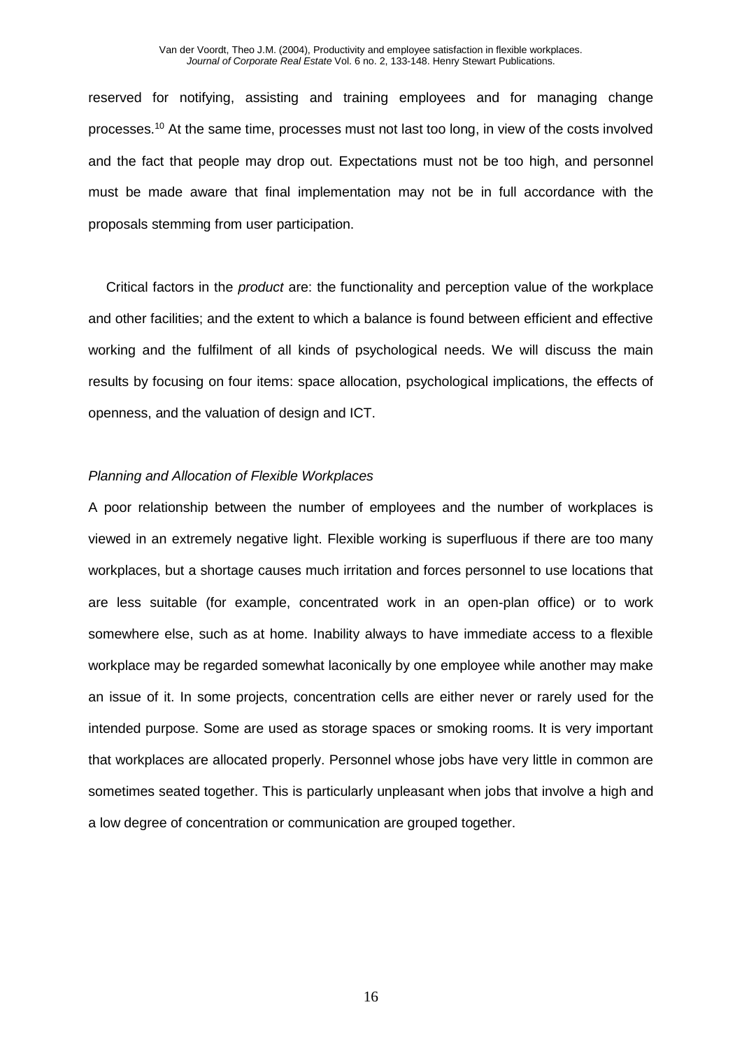reserved for notifying, assisting and training employees and for managing change processes.<sup>10</sup> At the same time, processes must not last too long, in view of the costs involved and the fact that people may drop out. Expectations must not be too high, and personnel must be made aware that final implementation may not be in full accordance with the proposals stemming from user participation.

Critical factors in the *product* are: the functionality and perception value of the workplace and other facilities; and the extent to which a balance is found between efficient and effective working and the fulfilment of all kinds of psychological needs. We will discuss the main results by focusing on four items: space allocation, psychological implications, the effects of openness, and the valuation of design and ICT.

# *Planning and Allocation of Flexible Workplaces*

A poor relationship between the number of employees and the number of workplaces is viewed in an extremely negative light. Flexible working is superfluous if there are too many workplaces, but a shortage causes much irritation and forces personnel to use locations that are less suitable (for example, concentrated work in an open-plan office) or to work somewhere else, such as at home. Inability always to have immediate access to a flexible workplace may be regarded somewhat laconically by one employee while another may make an issue of it. In some projects, concentration cells are either never or rarely used for the intended purpose. Some are used as storage spaces or smoking rooms. It is very important that workplaces are allocated properly. Personnel whose jobs have very little in common are sometimes seated together. This is particularly unpleasant when jobs that involve a high and a low degree of concentration or communication are grouped together.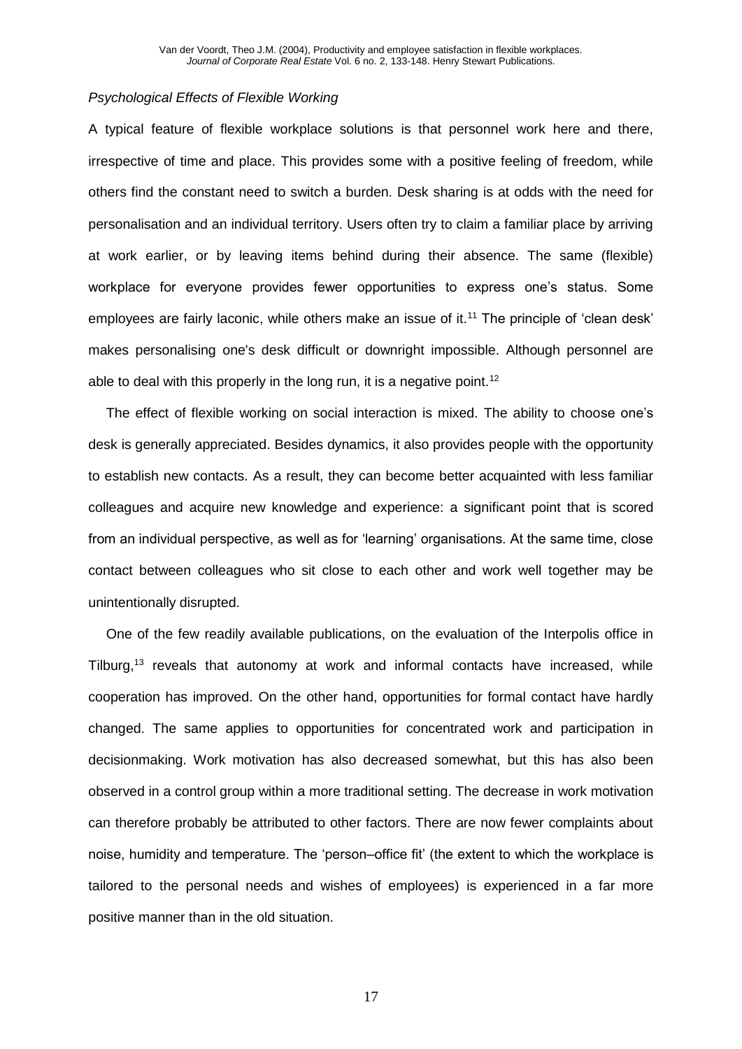# *Psychological Effects of Flexible Working*

A typical feature of flexible workplace solutions is that personnel work here and there, irrespective of time and place. This provides some with a positive feeling of freedom, while others find the constant need to switch a burden. Desk sharing is at odds with the need for personalisation and an individual territory. Users often try to claim a familiar place by arriving at work earlier, or by leaving items behind during their absence. The same (flexible) workplace for everyone provides fewer opportunities to express one's status. Some employees are fairly laconic, while others make an issue of it.<sup>11</sup> The principle of 'clean desk' makes personalising one's desk difficult or downright impossible. Although personnel are able to deal with this properly in the long run, it is a negative point.<sup>12</sup>

The effect of flexible working on social interaction is mixed. The ability to choose one's desk is generally appreciated. Besides dynamics, it also provides people with the opportunity to establish new contacts. As a result, they can become better acquainted with less familiar colleagues and acquire new knowledge and experience: a significant point that is scored from an individual perspective, as well as for 'learning' organisations. At the same time, close contact between colleagues who sit close to each other and work well together may be unintentionally disrupted.

One of the few readily available publications, on the evaluation of the Interpolis office in Tilburg,<sup>13</sup> reveals that autonomy at work and informal contacts have increased, while cooperation has improved. On the other hand, opportunities for formal contact have hardly changed. The same applies to opportunities for concentrated work and participation in decisionmaking. Work motivation has also decreased somewhat, but this has also been observed in a control group within a more traditional setting. The decrease in work motivation can therefore probably be attributed to other factors. There are now fewer complaints about noise, humidity and temperature. The 'person–office fit' (the extent to which the workplace is tailored to the personal needs and wishes of employees) is experienced in a far more positive manner than in the old situation.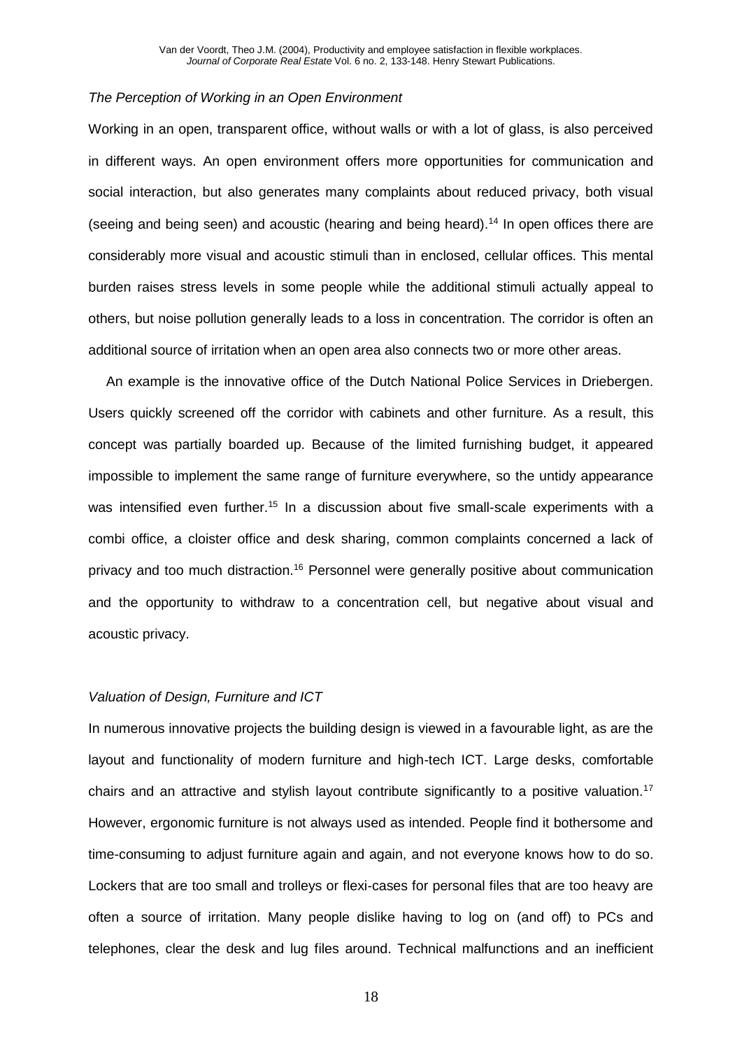#### *The Perception of Working in an Open Environment*

Working in an open, transparent office, without walls or with a lot of glass, is also perceived in different ways. An open environment offers more opportunities for communication and social interaction, but also generates many complaints about reduced privacy, both visual (seeing and being seen) and acoustic (hearing and being heard).<sup>14</sup> In open offices there are considerably more visual and acoustic stimuli than in enclosed, cellular offices. This mental burden raises stress levels in some people while the additional stimuli actually appeal to others, but noise pollution generally leads to a loss in concentration. The corridor is often an additional source of irritation when an open area also connects two or more other areas.

An example is the innovative office of the Dutch National Police Services in Driebergen. Users quickly screened off the corridor with cabinets and other furniture. As a result, this concept was partially boarded up. Because of the limited furnishing budget, it appeared impossible to implement the same range of furniture everywhere, so the untidy appearance was intensified even further.<sup>15</sup> In a discussion about five small-scale experiments with a combi office, a cloister office and desk sharing, common complaints concerned a lack of privacy and too much distraction.<sup>16</sup> Personnel were generally positive about communication and the opportunity to withdraw to a concentration cell, but negative about visual and acoustic privacy.

#### *Valuation of Design, Furniture and ICT*

In numerous innovative projects the building design is viewed in a favourable light, as are the layout and functionality of modern furniture and high-tech ICT. Large desks, comfortable chairs and an attractive and stylish layout contribute significantly to a positive valuation.<sup>17</sup> However, ergonomic furniture is not always used as intended. People find it bothersome and time-consuming to adjust furniture again and again, and not everyone knows how to do so. Lockers that are too small and trolleys or flexi-cases for personal files that are too heavy are often a source of irritation. Many people dislike having to log on (and off) to PCs and telephones, clear the desk and lug files around. Technical malfunctions and an inefficient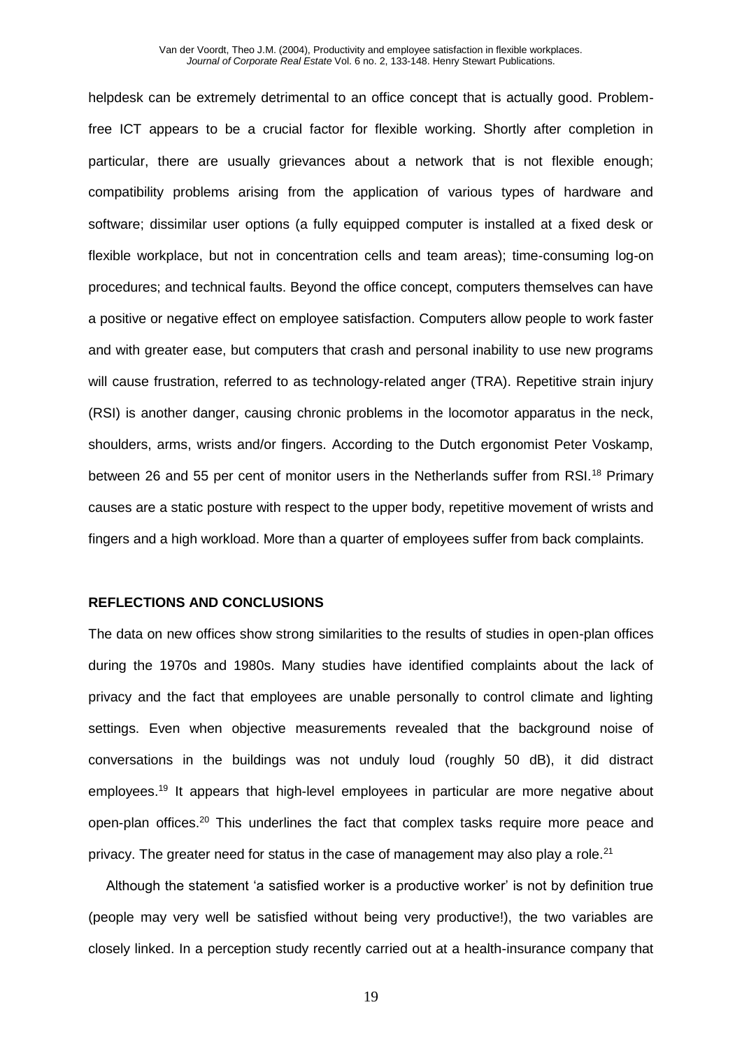helpdesk can be extremely detrimental to an office concept that is actually good. Problemfree ICT appears to be a crucial factor for flexible working. Shortly after completion in particular, there are usually grievances about a network that is not flexible enough; compatibility problems arising from the application of various types of hardware and software; dissimilar user options (a fully equipped computer is installed at a fixed desk or flexible workplace, but not in concentration cells and team areas); time-consuming log-on procedures; and technical faults. Beyond the office concept, computers themselves can have a positive or negative effect on employee satisfaction. Computers allow people to work faster and with greater ease, but computers that crash and personal inability to use new programs will cause frustration, referred to as technology-related anger (TRA). Repetitive strain injury (RSI) is another danger, causing chronic problems in the locomotor apparatus in the neck, shoulders, arms, wrists and/or fingers. According to the Dutch ergonomist Peter Voskamp, between 26 and 55 per cent of monitor users in the Netherlands suffer from RSI.<sup>18</sup> Primary causes are a static posture with respect to the upper body, repetitive movement of wrists and fingers and a high workload. More than a quarter of employees suffer from back complaints.

#### **REFLECTIONS AND CONCLUSIONS**

The data on new offices show strong similarities to the results of studies in open-plan offices during the 1970s and 1980s. Many studies have identified complaints about the lack of privacy and the fact that employees are unable personally to control climate and lighting settings. Even when objective measurements revealed that the background noise of conversations in the buildings was not unduly loud (roughly 50 dB), it did distract employees.<sup>19</sup> It appears that high-level employees in particular are more negative about open-plan offices.<sup>20</sup> This underlines the fact that complex tasks require more peace and privacy. The greater need for status in the case of management may also play a role.<sup>21</sup>

Although the statement 'a satisfied worker is a productive worker' is not by definition true (people may very well be satisfied without being very productive!), the two variables are closely linked. In a perception study recently carried out at a health-insurance company that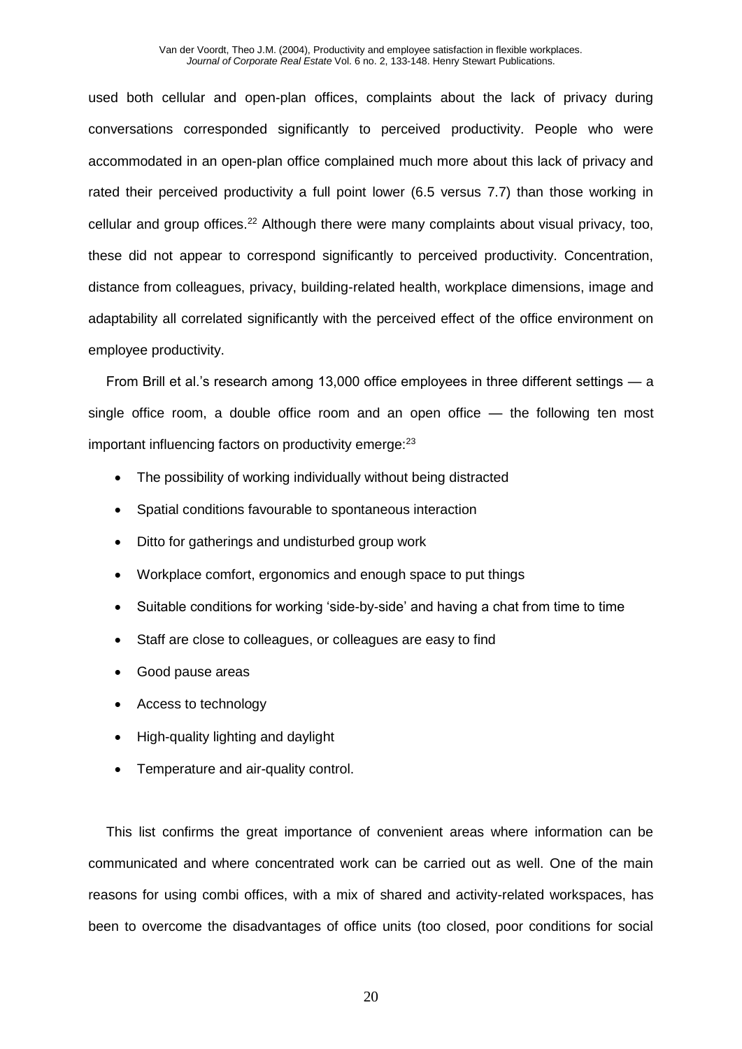used both cellular and open-plan offices, complaints about the lack of privacy during conversations corresponded significantly to perceived productivity. People who were accommodated in an open-plan office complained much more about this lack of privacy and rated their perceived productivity a full point lower (6.5 versus 7.7) than those working in cellular and group offices.<sup>22</sup> Although there were many complaints about visual privacy, too, these did not appear to correspond significantly to perceived productivity. Concentration, distance from colleagues, privacy, building-related health, workplace dimensions, image and adaptability all correlated significantly with the perceived effect of the office environment on employee productivity.

From Brill et al.'s research among 13,000 office employees in three different settings — a single office room, a double office room and an open office — the following ten most important influencing factors on productivity emerge:<sup>23</sup>

- The possibility of working individually without being distracted
- Spatial conditions favourable to spontaneous interaction
- Ditto for gatherings and undisturbed group work
- Workplace comfort, ergonomics and enough space to put things
- Suitable conditions for working 'side-by-side' and having a chat from time to time
- Staff are close to colleagues, or colleagues are easy to find
- Good pause areas
- Access to technology
- High-quality lighting and daylight
- Temperature and air-quality control.

This list confirms the great importance of convenient areas where information can be communicated and where concentrated work can be carried out as well. One of the main reasons for using combi offices, with a mix of shared and activity-related workspaces, has been to overcome the disadvantages of office units (too closed, poor conditions for social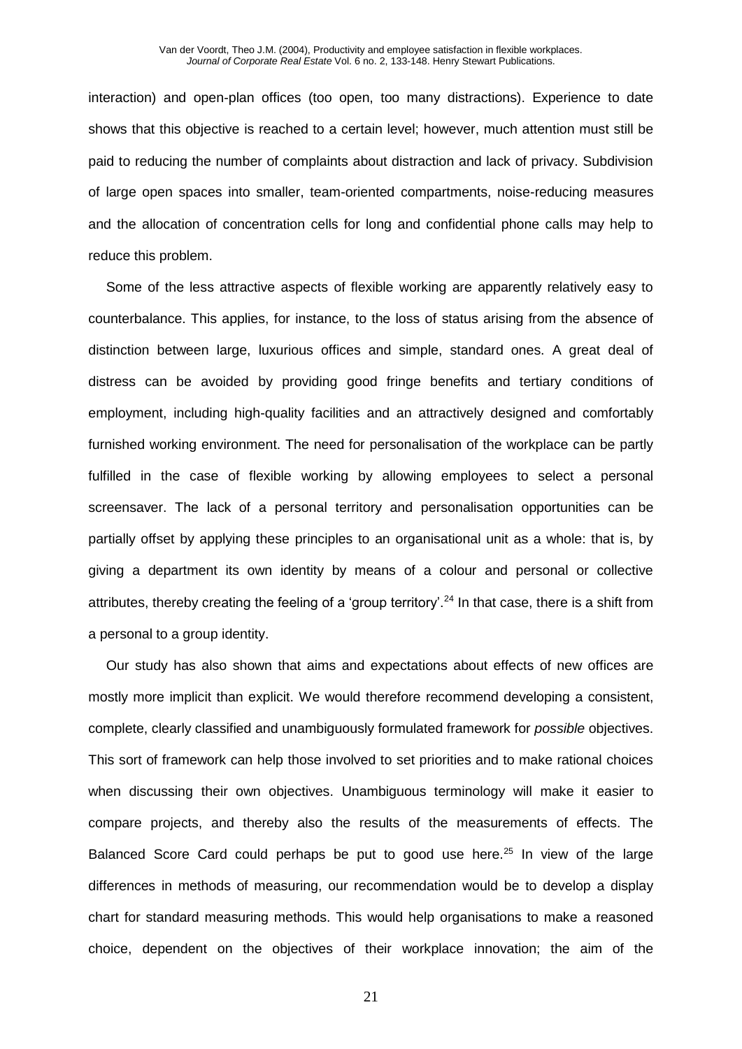interaction) and open-plan offices (too open, too many distractions). Experience to date shows that this objective is reached to a certain level; however, much attention must still be paid to reducing the number of complaints about distraction and lack of privacy. Subdivision of large open spaces into smaller, team-oriented compartments, noise-reducing measures and the allocation of concentration cells for long and confidential phone calls may help to reduce this problem.

Some of the less attractive aspects of flexible working are apparently relatively easy to counterbalance. This applies, for instance, to the loss of status arising from the absence of distinction between large, luxurious offices and simple, standard ones. A great deal of distress can be avoided by providing good fringe benefits and tertiary conditions of employment, including high-quality facilities and an attractively designed and comfortably furnished working environment. The need for personalisation of the workplace can be partly fulfilled in the case of flexible working by allowing employees to select a personal screensaver. The lack of a personal territory and personalisation opportunities can be partially offset by applying these principles to an organisational unit as a whole: that is, by giving a department its own identity by means of a colour and personal or collective attributes, thereby creating the feeling of a 'group territory'.<sup>24</sup> In that case, there is a shift from a personal to a group identity.

Our study has also shown that aims and expectations about effects of new offices are mostly more implicit than explicit. We would therefore recommend developing a consistent, complete, clearly classified and unambiguously formulated framework for *possible* objectives. This sort of framework can help those involved to set priorities and to make rational choices when discussing their own objectives. Unambiguous terminology will make it easier to compare projects, and thereby also the results of the measurements of effects. The Balanced Score Card could perhaps be put to good use here.<sup>25</sup> In view of the large differences in methods of measuring, our recommendation would be to develop a display chart for standard measuring methods. This would help organisations to make a reasoned choice, dependent on the objectives of their workplace innovation; the aim of the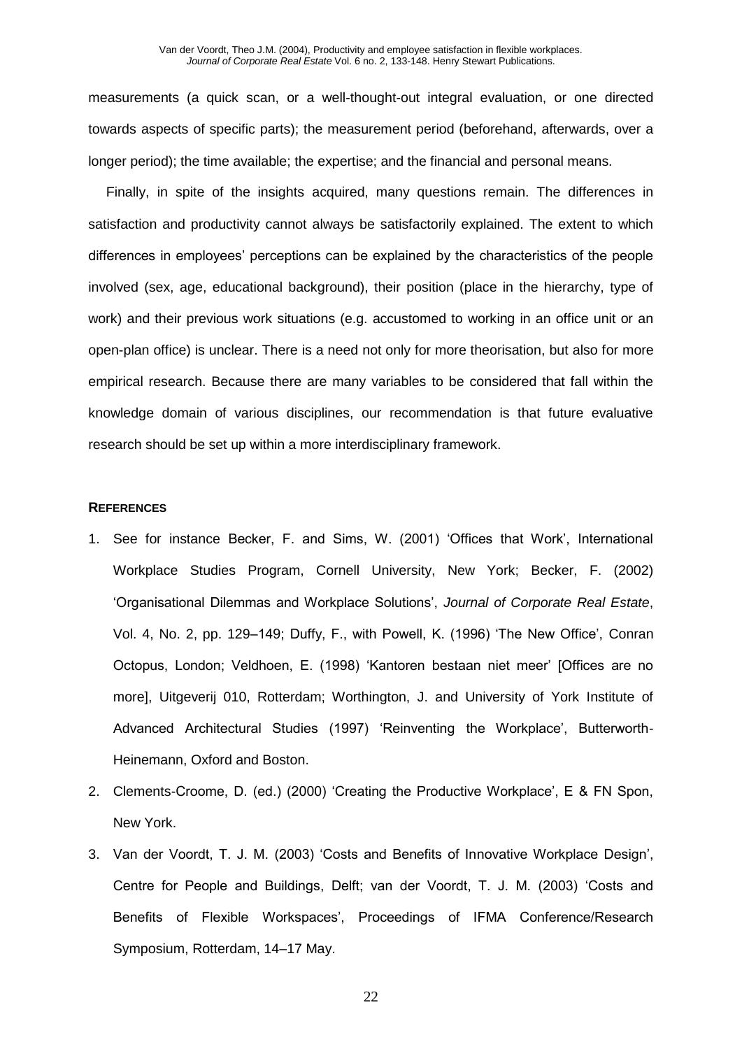measurements (a quick scan, or a well-thought-out integral evaluation, or one directed towards aspects of specific parts); the measurement period (beforehand, afterwards, over a longer period); the time available; the expertise; and the financial and personal means.

Finally, in spite of the insights acquired, many questions remain. The differences in satisfaction and productivity cannot always be satisfactorily explained. The extent to which differences in employees' perceptions can be explained by the characteristics of the people involved (sex, age, educational background), their position (place in the hierarchy, type of work) and their previous work situations (e.g. accustomed to working in an office unit or an open-plan office) is unclear. There is a need not only for more theorisation, but also for more empirical research. Because there are many variables to be considered that fall within the knowledge domain of various disciplines, our recommendation is that future evaluative research should be set up within a more interdisciplinary framework.

#### **REFERENCES**

- 1. See for instance Becker, F. and Sims, W. (2001) 'Offices that Work', International Workplace Studies Program, Cornell University, New York; Becker, F. (2002) 'Organisational Dilemmas and Workplace Solutions', *Journal of Corporate Real Estate*, Vol. 4, No. 2, pp. 129–149; Duffy, F., with Powell, K. (1996) 'The New Office', Conran Octopus, London; Veldhoen, E. (1998) 'Kantoren bestaan niet meer' [Offices are no more], Uitgeverij 010, Rotterdam; Worthington, J. and University of York Institute of Advanced Architectural Studies (1997) 'Reinventing the Workplace', Butterworth-Heinemann, Oxford and Boston.
- 2. Clements-Croome, D. (ed.) (2000) 'Creating the Productive Workplace', E & FN Spon, New York.
- 3. Van der Voordt, T. J. M. (2003) 'Costs and Benefits of Innovative Workplace Design', Centre for People and Buildings, Delft; van der Voordt, T. J. M. (2003) 'Costs and Benefits of Flexible Workspaces', Proceedings of IFMA Conference/Research Symposium, Rotterdam, 14–17 May.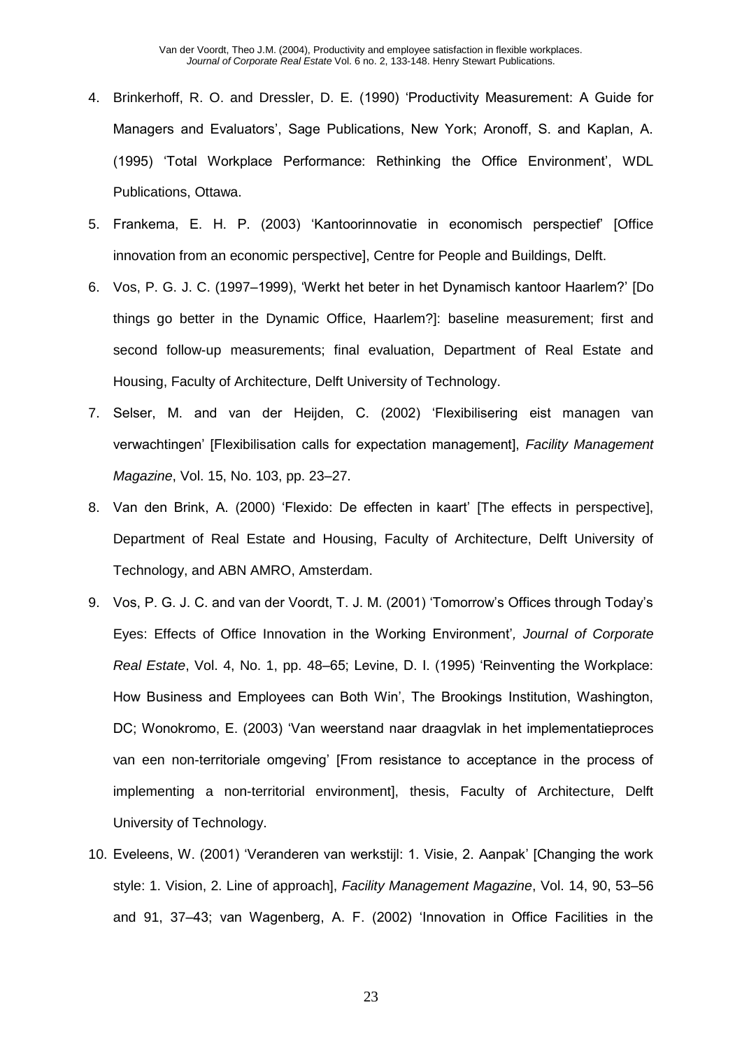- 4. Brinkerhoff, R. O. and Dressler, D. E. (1990) 'Productivity Measurement: A Guide for Managers and Evaluators', Sage Publications, New York; Aronoff, S. and Kaplan, A. (1995) 'Total Workplace Performance: Rethinking the Office Environment', WDL Publications, Ottawa.
- 5. Frankema, E. H. P. (2003) 'Kantoorinnovatie in economisch perspectief' [Office innovation from an economic perspective], Centre for People and Buildings, Delft.
- 6. Vos, P. G. J. C. (1997–1999), 'Werkt het beter in het Dynamisch kantoor Haarlem?' [Do things go better in the Dynamic Office, Haarlem?]: baseline measurement; first and second follow-up measurements; final evaluation, Department of Real Estate and Housing, Faculty of Architecture, Delft University of Technology.
- 7. Selser, M. and van der Heijden, C. (2002) 'Flexibilisering eist managen van verwachtingen' [Flexibilisation calls for expectation management], *Facility Management Magazine*, Vol. 15, No. 103, pp. 23–27.
- 8. Van den Brink, A. (2000) 'Flexido: De effecten in kaart' [The effects in perspective], Department of Real Estate and Housing, Faculty of Architecture, Delft University of Technology, and ABN AMRO, Amsterdam.
- 9. Vos, P. G. J. C. and van der Voordt, T. J. M. (2001) 'Tomorrow's Offices through Today's Eyes: Effects of Office Innovation in the Working Environment'*, Journal of Corporate Real Estate*, Vol. 4, No. 1, pp. 48–65; Levine, D. I. (1995) 'Reinventing the Workplace: How Business and Employees can Both Win', The Brookings Institution, Washington, DC; Wonokromo, E. (2003) 'Van weerstand naar draagvlak in het implementatieproces van een non-territoriale omgeving' [From resistance to acceptance in the process of implementing a non-territorial environment], thesis, Faculty of Architecture, Delft University of Technology.
- 10. Eveleens, W. (2001) 'Veranderen van werkstijl: 1. Visie, 2. Aanpak' [Changing the work style: 1. Vision, 2. Line of approach], *Facility Management Magazine*, Vol. 14, 90, 53–56 and 91, 37–43; van Wagenberg, A. F. (2002) 'Innovation in Office Facilities in the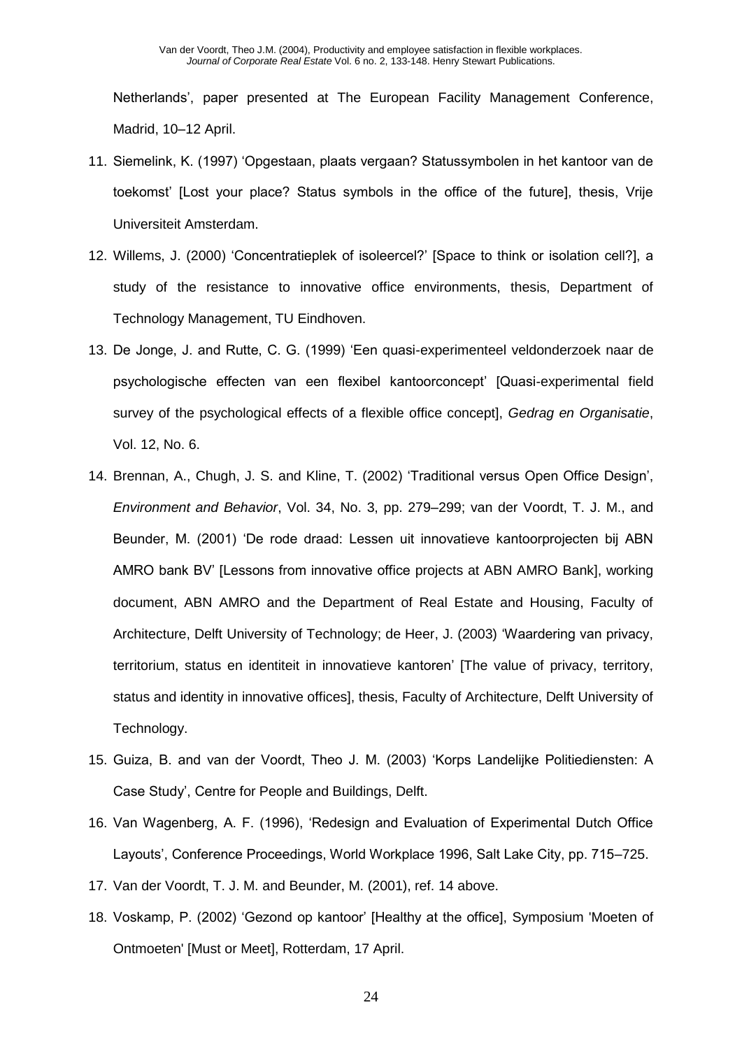Netherlands', paper presented at The European Facility Management Conference, Madrid, 10–12 April.

- 11. Siemelink, K. (1997) 'Opgestaan, plaats vergaan? Statussymbolen in het kantoor van de toekomst' [Lost your place? Status symbols in the office of the future], thesis, Vrije Universiteit Amsterdam.
- 12. Willems, J. (2000) 'Concentratieplek of isoleercel?' [Space to think or isolation cell?], a study of the resistance to innovative office environments, thesis, Department of Technology Management, TU Eindhoven.
- 13. De Jonge, J. and Rutte, C. G. (1999) 'Een quasi-experimenteel veldonderzoek naar de psychologische effecten van een flexibel kantoorconcept' [Quasi-experimental field survey of the psychological effects of a flexible office concept], *Gedrag en Organisatie*, Vol. 12, No. 6.
- 14. Brennan, A., Chugh, J. S. and Kline, T. (2002) 'Traditional versus Open Office Design', *Environment and Behavior*, Vol. 34, No. 3, pp. 279–299; van der Voordt, T. J. M., and Beunder, M. (2001) 'De rode draad: Lessen uit innovatieve kantoorprojecten bij ABN AMRO bank BV' [Lessons from innovative office projects at ABN AMRO Bank], working document, ABN AMRO and the Department of Real Estate and Housing, Faculty of Architecture, Delft University of Technology; de Heer, J. (2003) 'Waardering van privacy, territorium, status en identiteit in innovatieve kantoren' [The value of privacy, territory, status and identity in innovative offices], thesis, Faculty of Architecture, Delft University of Technology.
- 15. Guiza, B. and van der Voordt, Theo J. M. (2003) 'Korps Landelijke Politiediensten: A Case Study', Centre for People and Buildings, Delft.
- 16. Van Wagenberg, A. F. (1996), 'Redesign and Evaluation of Experimental Dutch Office Layouts', Conference Proceedings, World Workplace 1996, Salt Lake City, pp. 715–725.
- 17. Van der Voordt, T. J. M. and Beunder, M. (2001), ref. 14 above.
- 18. Voskamp, P. (2002) 'Gezond op kantoor' [Healthy at the office], Symposium 'Moeten of Ontmoeten' [Must or Meet], Rotterdam, 17 April.